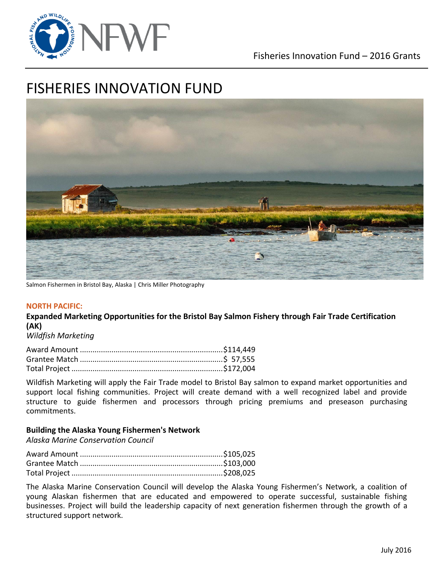

# FISHERIES INNOVATION FUND



Salmon Fishermen in Bristol Bay, Alaska | Chris Miller Photography

#### **NORTH PACIFIC:**

**Expanded Marketing Opportunities for the Bristol Bay Salmon Fishery through Fair Trade Certification (AK)**

*Wildfish Marketing*

Wildfish Marketing will apply the Fair Trade model to Bristol Bay salmon to expand market opportunities and support local fishing communities. Project will create demand with a well recognized label and provide structure to guide fishermen and processors through pricing premiums and preseason purchasing commitments.

### **Building the Alaska Young Fishermen's Network**

*Alaska Marine Conservation Council*

The Alaska Marine Conservation Council will develop the Alaska Young Fishermen's Network, a coalition of young Alaskan fishermen that are educated and empowered to operate successful, sustainable fishing businesses. Project will build the leadership capacity of next generation fishermen through the growth of a structured support network.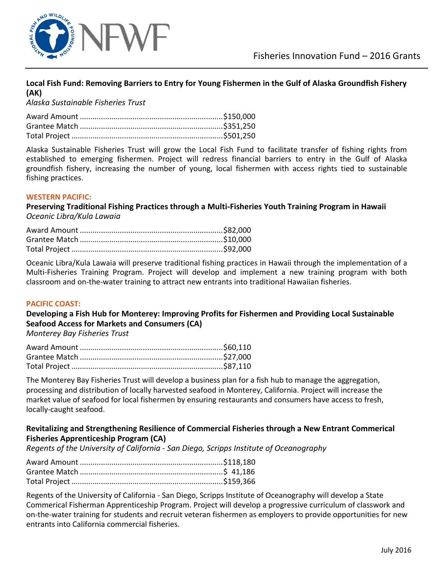

### **Local Fish Fund: Removing Barriers to Entry for Young Fishermen in the Gulf of Alaska Groundfish Fishery (AK)**

*Alaska Sustainable Fisheries Trust*

Alaska Sustainable Fisheries Trust will grow the Local Fish Fund to facilitate transfer of fishing rights from established to emerging fishermen. Project will redress financial barriers to entry in the Gulf of Alaska groundfish fishery, increasing the number of young, local fishermen with access rights tied to sustainable fishing practices.

### **WESTERN PACIFIC:**

**Preserving Traditional Fishing Practices through a Multi-Fisheries Youth Training Program in Hawaii**  *Oceanic Libra/Kula Lawaia* 

Oceanic Libra/Kula Lawaia will preserve traditional fishing practices in Hawaii through the implementation of a Multi-Fisheries Training Program. Project will develop and implement a new training program with both classroom and on-the-water training to attract new entrants into traditional Hawaiian fisheries.

### **PACIFIC COAST:**

**Developing a Fish Hub for Monterey: Improving Profits for Fishermen and Providing Local Sustainable Seafood Access for Markets and Consumers (CA)**

*Monterey Bay Fisheries Trust*

The Monterey Bay Fisheries Trust will develop a business plan for a fish hub to manage the aggregation, processing and distribution of locally harvested seafood in Monterey, California. Project will increase the market value of seafood for local fishermen by ensuring restaurants and consumers have access to fresh, locally-caught seafood.

### **Revitalizing and Strengthening Resilience of Commercial Fisheries through a New Entrant Commerical Fisheries Apprenticeship Program (CA)**

*Regents of the University of California - San Diego, Scripps Institute of Oceanography*

Regents of the University of California - San Diego, Scripps Institute of Oceanography will develop a State Commerical Fisherman Apprenticeship Program. Project will develop a progressive curriculum of classwork and on-the-water training for students and recruit veteran fishermen as employers to provide opportunities for new entrants into California commercial fisheries.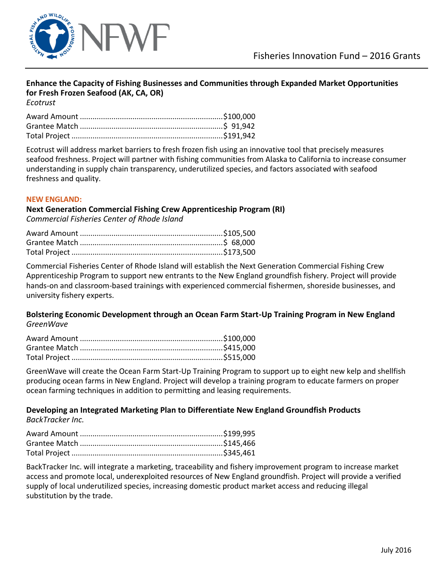

### **Enhance the Capacity of Fishing Businesses and Communities through Expanded Market Opportunities for Fresh Frozen Seafood (AK, CA, OR)**

*Ecotrust*

Ecotrust will address market barriers to fresh frozen fish using an innovative tool that precisely measures seafood freshness. Project will partner with fishing communities from Alaska to California to increase consumer understanding in supply chain transparency, underutilized species, and factors associated with seafood freshness and quality.

### **NEW ENGLAND:**

### **Next Generation Commercial Fishing Crew Apprenticeship Program (RI)** *Commercial Fisheries Center of Rhode Island*

Commercial Fisheries Center of Rhode Island will establish the Next Generation Commercial Fishing Crew Apprenticeship Program to support new entrants to the New England groundfish fishery. Project will provide hands-on and classroom-based trainings with experienced commercial fishermen, shoreside businesses, and university fishery experts.

### **Bolstering Economic Development through an Ocean Farm Start-Up Training Program in New England**  *GreenWave*

GreenWave will create the Ocean Farm Start-Up Training Program to support up to eight new kelp and shellfish producing ocean farms in New England. Project will develop a training program to educate farmers on proper ocean farming techniques in addition to permitting and leasing requirements.

## **Developing an Integrated Marketing Plan to Differentiate New England Groundfish Products**

*BackTracker Inc.*

BackTracker Inc. will integrate a marketing, traceability and fishery improvement program to increase market access and promote local, underexploited resources of New England groundfish. Project will provide a verified supply of local underutilized species, increasing domestic product market access and reducing illegal substitution by the trade.